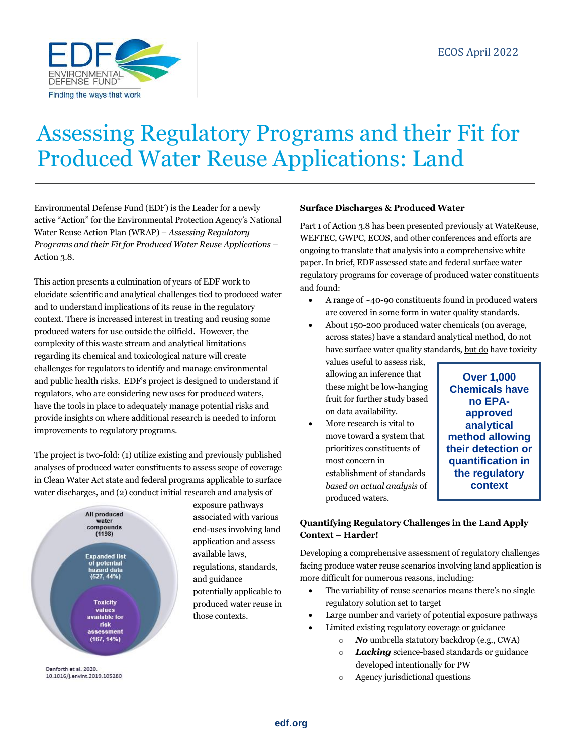

# Assessing Regulatory Programs and their Fit for Produced Water Reuse Applications: Land

Environmental Defense Fund (EDF) is the Leader for a newly active "Action" for the Environmental Protection Agency's National Water Reuse Action Plan (WRAP) – *Assessing Regulatory Programs and their Fit for Produced Water Reuse Applications* – Action 3.8.

This action presents a culmination of years of EDF work to elucidate scientific and analytical challenges tied to produced water and to understand implications of its reuse in the regulatory context. There is increased interest in treating and reusing some produced waters for use outside the oilfield. However, the complexity of this waste stream and analytical limitations regarding its chemical and toxicological nature will create challenges for regulators to identify and manage environmental and public health risks. EDF's project is designed to understand if regulators, who are considering new uses for produced waters, have the tools in place to adequately manage potential risks and provide insights on where additional research is needed to inform improvements to regulatory programs.

The project is two-fold: (1) utilize existing and previously published analyses of produced water constituents to assess scope of coverage in Clean Water Act state and federal programs applicable to surface water discharges, and (2) conduct initial research and analysis of



Danforth et al. 2020. 10.1016/j.envint.2019.105280

#### **Surface Discharges & Produced Water**

Part 1 of Action 3.8 has been presented previously at WateReuse, WEFTEC, GWPC, ECOS, and other conferences and efforts are ongoing to translate that analysis into a comprehensive white paper. In brief, EDF assessed state and federal surface water regulatory programs for coverage of produced water constituents and found:

- A range of  $~10$ -90 constituents found in produced waters are covered in some form in water quality standards.
- About 150-200 produced water chemicals (on average, across states) have a standard analytical method, do not have surface water quality standards, but do have toxicity

values useful to assess risk, allowing an inference that these might be low-hanging fruit for further study based on data availability.

• More research is vital to move toward a system that prioritizes constituents of most concern in establishment of standards *based on actual analysis* of produced waters.

**Over 1,000 Chemicals have no EPAapproved analytical method allowing their detection or quantification in the regulatory context**

# **Quantifying Regulatory Challenges in the Land Apply Context – Harder!**

Developing a comprehensive assessment of regulatory challenges facing produce water reuse scenarios involving land application is more difficult for numerous reasons, including:

- The variability of reuse scenarios means there's no single regulatory solution set to target
- Large number and variety of potential exposure pathways
- Limited existing regulatory coverage or guidance
	- o *No* umbrella statutory backdrop (e.g., CWA)
	- o *Lacking* science-based standards or guidance developed intentionally for PW
	- o Agency jurisdictional questions